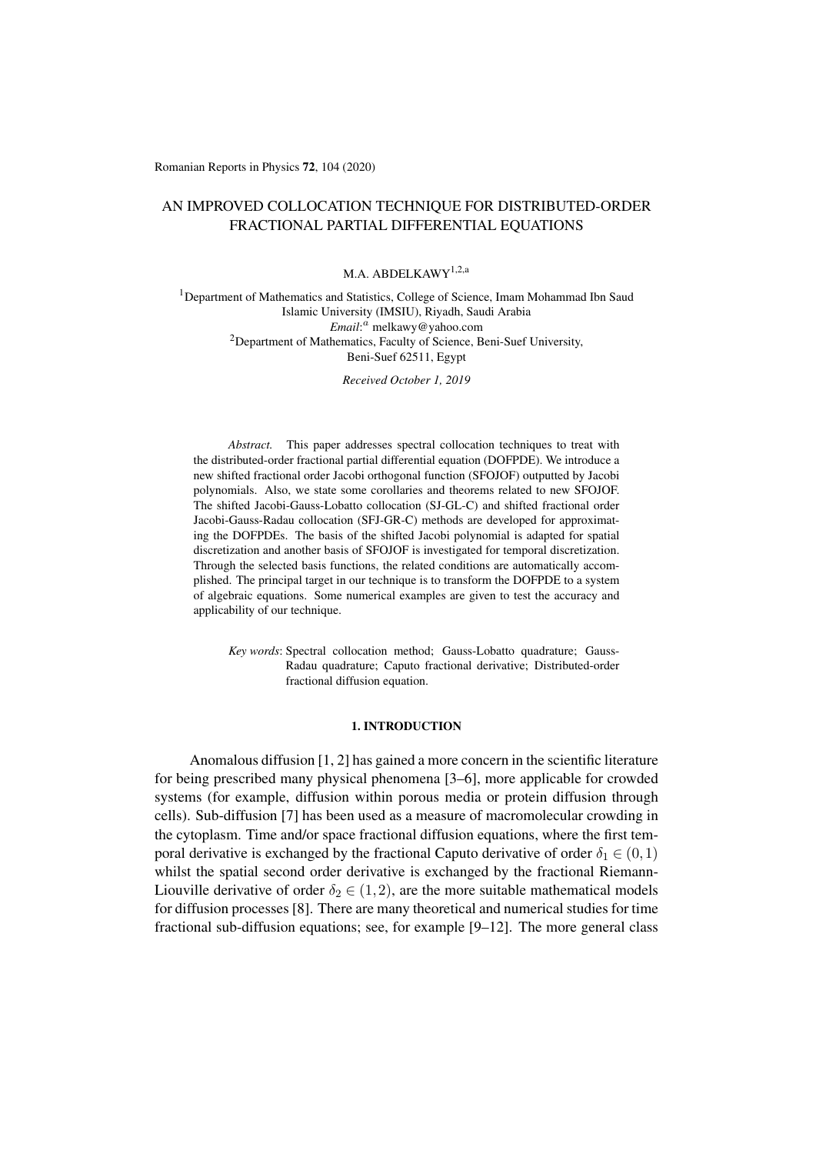# AN IMPROVED COLLOCATION TECHNIQUE FOR DISTRIBUTED-ORDER FRACTIONAL PARTIAL DIFFERENTIAL EQUATIONS

M.A. ABDELKAWY<sup>1,2,a</sup>

<sup>1</sup>Department of Mathematics and Statistics, College of Science, Imam Mohammad Ibn Saud Islamic University (IMSIU), Riyadh, Saudi Arabia *Email*: *<sup>a</sup>* melkawy@yahoo.com <sup>2</sup>Department of Mathematics, Faculty of Science, Beni-Suef University, Beni-Suef 62511, Egypt

*Received October 1, 2019*

*Abstract.* This paper addresses spectral collocation techniques to treat with the distributed-order fractional partial differential equation (DOFPDE). We introduce a new shifted fractional order Jacobi orthogonal function (SFOJOF) outputted by Jacobi polynomials. Also, we state some corollaries and theorems related to new SFOJOF. The shifted Jacobi-Gauss-Lobatto collocation (SJ-GL-C) and shifted fractional order Jacobi-Gauss-Radau collocation (SFJ-GR-C) methods are developed for approximating the DOFPDEs. The basis of the shifted Jacobi polynomial is adapted for spatial discretization and another basis of SFOJOF is investigated for temporal discretization. Through the selected basis functions, the related conditions are automatically accomplished. The principal target in our technique is to transform the DOFPDE to a system of algebraic equations. Some numerical examples are given to test the accuracy and applicability of our technique.

*Key words*: Spectral collocation method; Gauss-Lobatto quadrature; Gauss-Radau quadrature; Caputo fractional derivative; Distributed-order fractional diffusion equation.

### 1. INTRODUCTION

Anomalous diffusion [1, 2] has gained a more concern in the scientific literature for being prescribed many physical phenomena [3–6], more applicable for crowded systems (for example, diffusion within porous media or protein diffusion through cells). Sub-diffusion [7] has been used as a measure of macromolecular crowding in the cytoplasm. Time and/or [sp](#page-14-0)[ac](#page-14-1)e fractional diffusion equations, where the first temporal derivative is exchanged by the fractional C[ap](#page-14-2)[uto](#page-14-3) derivative of order  $\delta_1 \in (0,1)$ whilst the spatial second order derivative is exchanged by the fractional RiemannLiouville derivative o[f o](#page-14-4)rder  $\delta_2 \in (1,2)$ , are the more suitable mathematical models for diffusion processes [8]. There are many theoretical and numerical studies for time fractional sub-diffusion equations; see, for example [9–12]. The more general class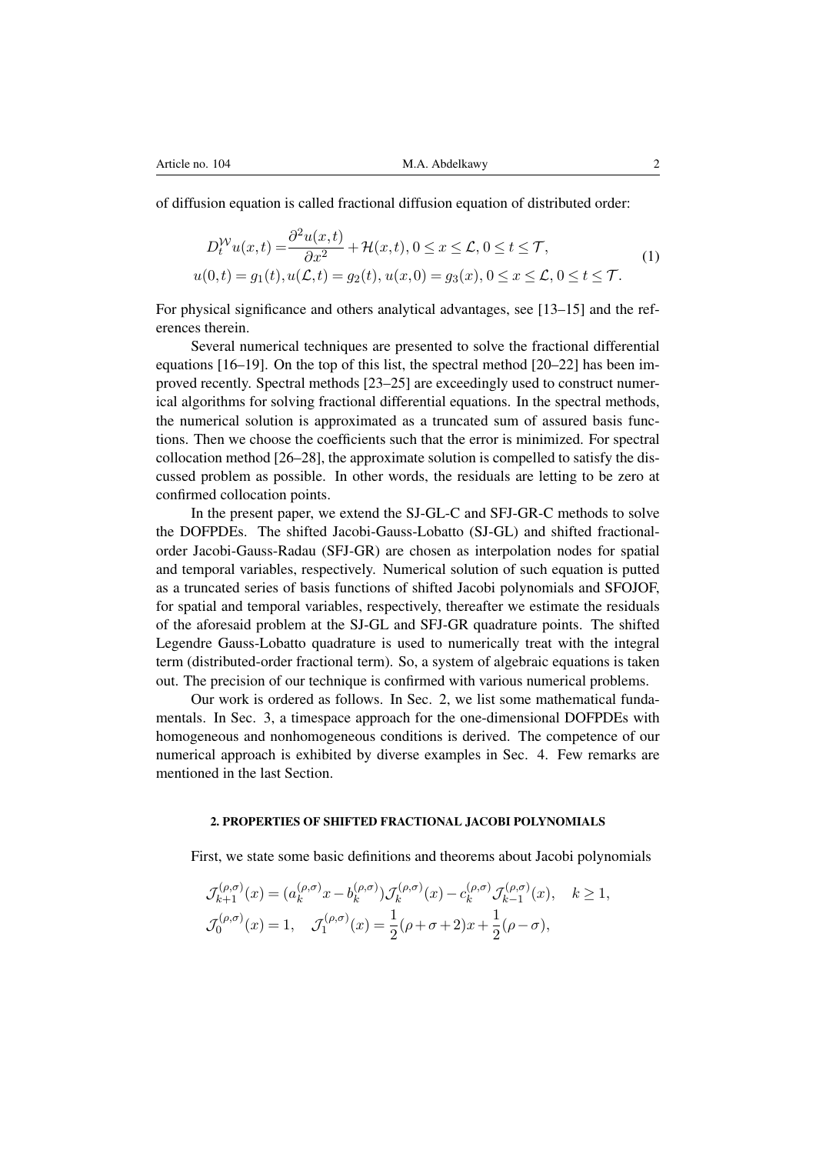of diffusion equation is called fractional diffusion equation of distributed order:

$$
D_t^{\mathcal{W}} u(x,t) = \frac{\partial^2 u(x,t)}{\partial x^2} + \mathcal{H}(x,t), 0 \le x \le \mathcal{L}, 0 \le t \le \mathcal{T},
$$
  
\n
$$
u(0,t) = g_1(t), u(\mathcal{L},t) = g_2(t), u(x,0) = g_3(x), 0 \le x \le \mathcal{L}, 0 \le t \le \mathcal{T}.
$$
\n(1)

For physical significance and others analytical advantages, see [13–15] and the references therein.

Several numerical techniques are presented to solve the fractional differential equations [16–19]. On the top of this list, the spectral method [20–22] has been improved recently. Spectral methods [23–25] are exceedingly used [to](#page-14-5) c[on](#page-14-6)struct numerical algorithms for solving fractional differential equations. In the spectral methods, the numerical solution is approximated as a truncated sum of assured basis functions. The[n w](#page-14-7)[e ch](#page-14-8)oose the coefficients such that the error is mi[nim](#page-14-9)[ized](#page-14-10). For spectral collocation method [26–28], the ap[pro](#page-15-0)[xim](#page-15-1)ate solution is compelled to satisfy the discussed problem as possible. In other words, the residuals are letting to be zero at confirmed collocation points.

In the present paper, we extend the SJ-GL-C and SFJ-GR-C methods to solve the DOFPDEs. Th[e sh](#page-15-2)[ifte](#page-15-3)d Jacobi-Gauss-Lobatto (SJ-GL) and shifted fractionalorder Jacobi-Gauss-Radau (SFJ-GR) are chosen as interpolation nodes for spatial and temporal variables, respectively. Numerical solution of such equation is putted as a truncated series of basis functions of shifted Jacobi polynomials and SFOJOF, for spatial and temporal variables, respectively, thereafter we estimate the residuals of the aforesaid problem at the SJ-GL and SFJ-GR quadrature points. The shifted Legendre Gauss-Lobatto quadrature is used to numerically treat with the integral term (distributed-order fractional term). So, a system of algebraic equations is taken out. The precision of our technique is confirmed with various numerical problems.

Our work is ordered as follows. In Sec. 2, we list some mathematical fundamentals. In Sec. 3, a timespace approach for the one-dimensional DOFPDEs with homogeneous and nonhomogeneous conditions is derived. The competence of our numerical approach is exhibited by diverse examples in Sec. 4. Few remarks are mentioned in the last Section.

#### 2. PROPERTIES OF SHIFTED FRACTIONAL JACOBI POLYNOMIALS

First, we state some basic definitions and theorems about Jacobi polynomials

$$
\mathcal{J}_{k+1}^{(\rho,\sigma)}(x) = (a_k^{(\rho,\sigma)}x - b_k^{(\rho,\sigma)}) \mathcal{J}_k^{(\rho,\sigma)}(x) - c_k^{(\rho,\sigma)} \mathcal{J}_{k-1}^{(\rho,\sigma)}(x), \quad k \ge 1,
$$
  

$$
\mathcal{J}_0^{(\rho,\sigma)}(x) = 1, \quad \mathcal{J}_1^{(\rho,\sigma)}(x) = \frac{1}{2}(\rho + \sigma + 2)x + \frac{1}{2}(\rho - \sigma),
$$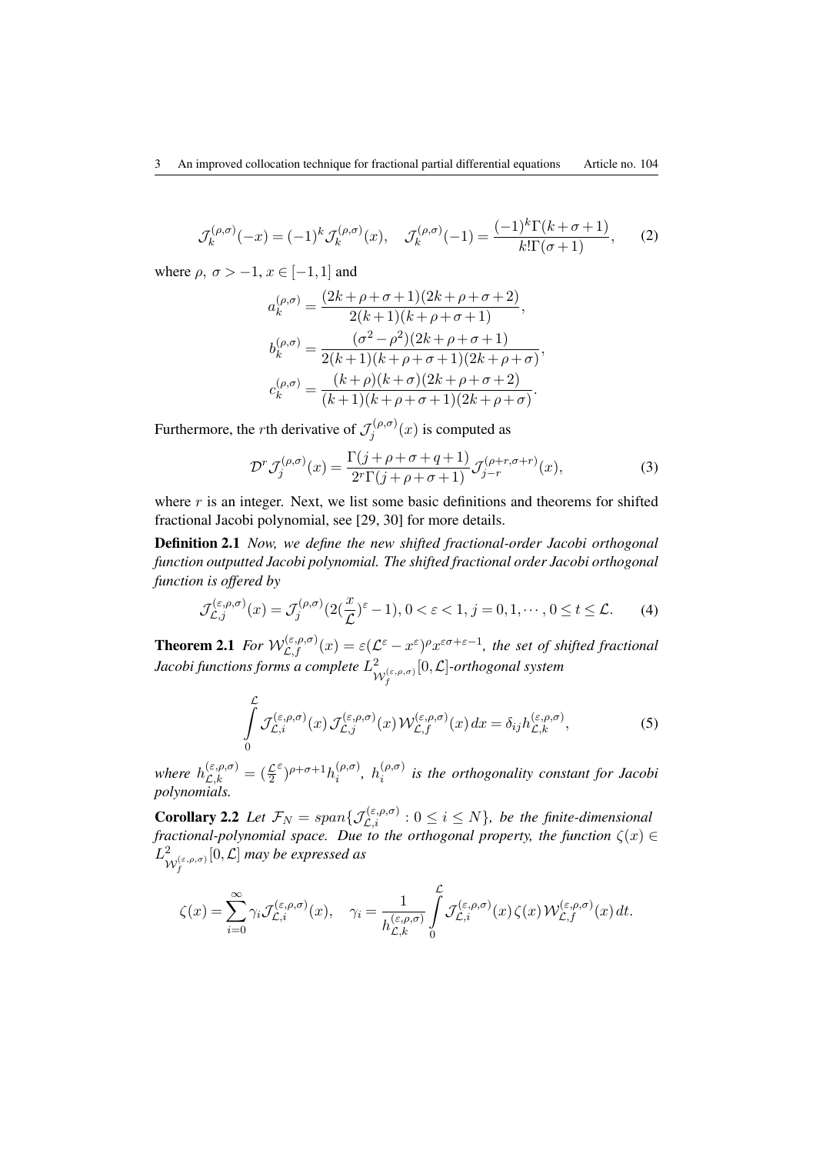$$
\mathcal{J}_k^{(\rho,\sigma)}(-x) = (-1)^k \mathcal{J}_k^{(\rho,\sigma)}(x), \quad \mathcal{J}_k^{(\rho,\sigma)}(-1) = \frac{(-1)^k \Gamma(k+\sigma+1)}{k! \Gamma(\sigma+1)},\tag{2}
$$

where  $\rho$ ,  $\sigma > -1$ ,  $x \in [-1,1]$  and

$$
a_k^{(\rho,\sigma)} = \frac{(2k+\rho+\sigma+1)(2k+\rho+\sigma+2)}{2(k+1)(k+\rho+\sigma+1)},
$$
  
\n
$$
b_k^{(\rho,\sigma)} = \frac{(\sigma^2-\rho^2)(2k+\rho+\sigma+1)}{2(k+1)(k+\rho+\sigma+1)(2k+\rho+\sigma)},
$$
  
\n
$$
c_k^{(\rho,\sigma)} = \frac{(k+\rho)(k+\sigma)(2k+\rho+\sigma+2)}{(k+1)(k+\rho+\sigma+1)(2k+\rho+\sigma)}.
$$

Furthermore, the *r*th derivative of  $\mathcal{J}_i^{(\rho,\sigma)}$  $f_j^{(\rho,\sigma)}(x)$  is computed as

$$
\mathcal{D}^r \mathcal{J}_j^{(\rho,\sigma)}(x) = \frac{\Gamma(j+\rho+\sigma+q+1)}{2^r \Gamma(j+\rho+\sigma+1)} \mathcal{J}_{j-r}^{(\rho+r,\sigma+r)}(x),\tag{3}
$$

where r is an integer. Next, we list some basic definitions and theorems for shifted fractional Jacobi polynomial, see [29, 30] for more details.

Definition 2.1 *Now, we define the new shifted fractional-order Jacobi orthogonal function outputted Jacobi polynomial. The shifted fractional order Jacobi orthogonal function is offered by*

$$
\mathcal{J}_{\mathcal{L},j}^{(\varepsilon,\rho,\sigma)}(x) = \mathcal{J}_j^{(\rho,\sigma)}(2(\frac{x}{\mathcal{L}})^{\varepsilon} - 1), 0 < \varepsilon < 1, j = 0, 1, \cdots, 0 \le t \le \mathcal{L}.
$$
 (4)

**Theorem 2.1** For  $W_{\mathcal{L},f}^{(\varepsilon,\rho,\sigma)}(x) = \varepsilon(\mathcal{L}^{\varepsilon}-x^{\varepsilon})^{\rho}x^{\varepsilon\sigma+\varepsilon-1}$ , the set of shifted fractional *Jacobi functions forms a complete L* 2  $\mathcal{W}_f^{(\varepsilon,\rho,\sigma)}$ [0*,L*]*-orthogonal system*

$$
\int_{0}^{\mathcal{L}} \mathcal{J}_{\mathcal{L},i}^{(\varepsilon,\rho,\sigma)}(x) \, \mathcal{J}_{\mathcal{L},j}^{(\varepsilon,\rho,\sigma)}(x) \, \mathcal{W}_{\mathcal{L},f}^{(\varepsilon,\rho,\sigma)}(x) \, dx = \delta_{ij} h_{\mathcal{L},k}^{(\varepsilon,\rho,\sigma)},\tag{5}
$$

*where*  $h_{\mathcal{L},k}^{(\varepsilon,\rho,\sigma)} = (\frac{\mathcal{L}}{2})$ *ε* ) *<sup>ρ</sup>*+*σ*+1*h* (*ρ,σ*)  $\binom{(\rho,\sigma)}{i}$ ,  $h_i^{(\rho,\sigma)}$ *i is the orthogonality constant for Jacobi polynomials.*

**Corollary 2.2** Let  $\mathcal{F}_N = span\{\mathcal{J}_{\mathcal{L},i}^{(\varepsilon,\rho,\sigma)} : 0 \leq i \leq N\}$ , be the finite-dimensional *fractional-polynomial space. Due to the orthogonal property, the function ζ*(*x*) *∈ L* 2  $\mathcal{W}_f^{(\varepsilon,\rho,\sigma)}$ [0*,L*] *may be expressed as*

$$
\zeta(x)=\sum_{i=0}^\infty\gamma_i\mathcal{J}^{(\varepsilon,\rho,\sigma)}_{\mathcal{L},i}(x),\quad \gamma_i=\frac{1}{h_{\mathcal{L},k}^{(\varepsilon,\rho,\sigma)}}\int\limits_0^\mathcal{L}\mathcal{J}^{(\varepsilon,\rho,\sigma)}_{\mathcal{L},i}(x)\,\zeta(x)\,\mathcal{W}^{(\varepsilon,\rho,\sigma)}_{\mathcal{L},f}(x)\,dt.
$$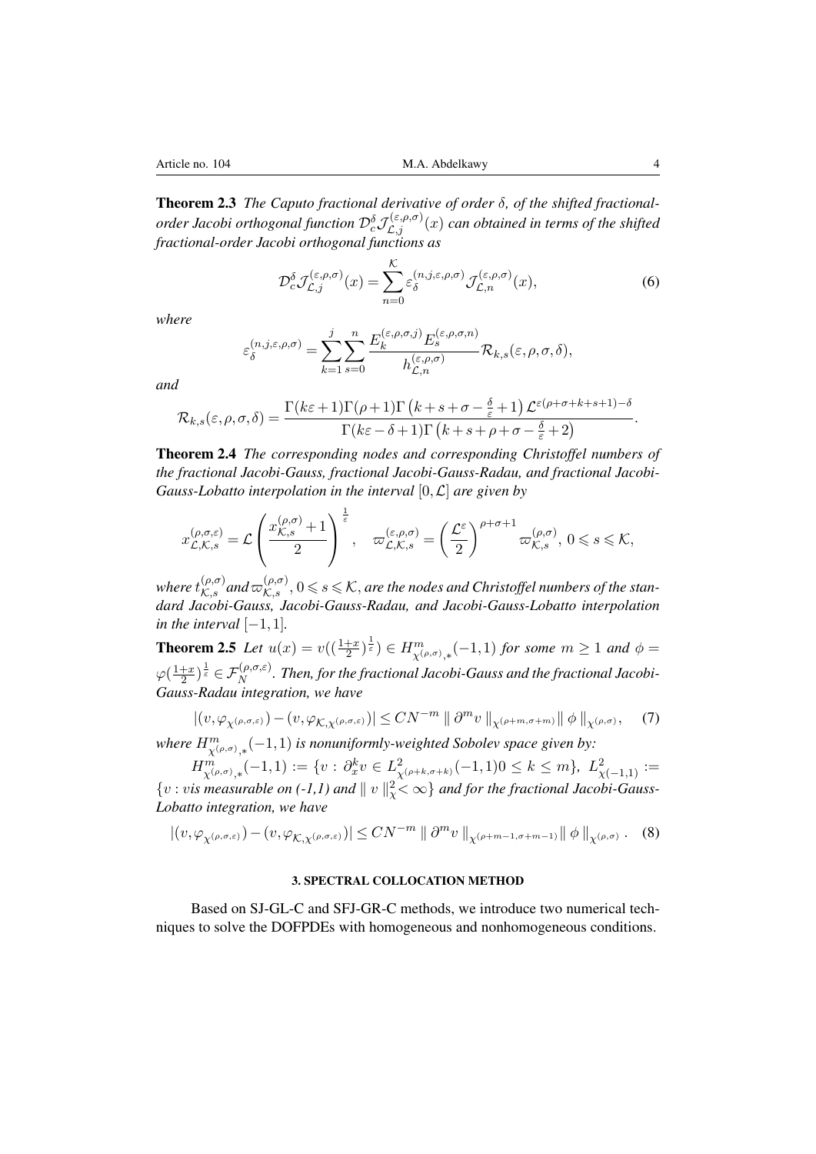Theorem 2.3 *The Caputo fractional derivative of order δ, of the shifted fractionalorder Jacobi orthogonal function*  $\mathcal{D}_{c}^{\delta} \mathcal{J}^{(\varepsilon,\rho,\sigma)}_{\mathcal{L},j}(x)$  *can obtained in terms of the shifted fractional-order Jacobi orthogonal functions as*

$$
\mathcal{D}_c^{\delta} \mathcal{J}_{\mathcal{L},j}^{(\varepsilon,\rho,\sigma)}(x) = \sum_{n=0}^{\mathcal{K}} \varepsilon_{\delta}^{(n,j,\varepsilon,\rho,\sigma)} \mathcal{J}_{\mathcal{L},n}^{(\varepsilon,\rho,\sigma)}(x),\tag{6}
$$

*where*

$$
\varepsilon_{\delta}^{(n,j,\varepsilon,\rho,\sigma)} = \sum_{k=1}^{j} \sum_{s=0}^{n} \frac{E_{k}^{(\varepsilon,\rho,\sigma,j)} E_{s}^{(\varepsilon,\rho,\sigma,n)}}{h_{\mathcal{L},n}^{(\varepsilon,\rho,\sigma)}} \mathcal{R}_{k,s}(\varepsilon,\rho,\sigma,\delta),
$$

*and*

$$
\mathcal{R}_{k,s}(\varepsilon,\rho,\sigma,\delta) = \frac{\Gamma(k\varepsilon+1)\Gamma(\rho+1)\Gamma(k+s+\sigma-\frac{\delta}{\varepsilon}+1)\,\mathcal{L}^{\varepsilon(\rho+\sigma+k+s+1)-\delta}}{\Gamma(k\varepsilon-\delta+1)\Gamma(k+s+\rho+\sigma-\frac{\delta}{\varepsilon}+2)}.
$$

Theorem 2.4 *The corresponding nodes and corresponding Christoffel numbers of the fractional Jacobi-Gauss, fractional Jacobi-Gauss-Radau, and fractional Jacobi-Gauss-Lobatto interpolation in the interval* [0*,L*] *are given by*

$$
x_{\mathcal{L},\mathcal{K},s}^{(\rho,\sigma,\varepsilon)} = \mathcal{L}\left(\frac{x_{\mathcal{K},s}^{(\rho,\sigma)}+1}{2}\right)^{\frac{1}{\varepsilon}},\quad \varpi_{\mathcal{L},\mathcal{K},s}^{(\varepsilon,\rho,\sigma)} = \left(\frac{\mathcal{L}^{\varepsilon}}{2}\right)^{\rho+\sigma+1}\varpi_{\mathcal{K},s}^{(\rho,\sigma)},\;0\leqslant s\leqslant\mathcal{K},
$$

 $\mathcal{L}(\rho, \sigma)$  and  $\varpi^{(\rho, \sigma)}_{\mathcal{K}, s}$ ,  $0 \leq s \leq \mathcal{K}$ , are the nodes and Christoffel numbers of the stan*dard Jacobi-Gauss, Jacobi-Gauss-Radau, and Jacobi-Gauss-Lobatto interpolation in the interval*  $[-1, 1]$ *.* 

**Theorem 2.5** Let  $u(x) = v((\frac{1+x}{2})^{\frac{1}{\varepsilon}}) \in H^{m}_{\chi(\rho,\sigma),*}(-1,1)$  for some  $m \ge 1$  and  $\phi =$  $\varphi(\frac{1+x}{2})$  $\frac{+x}{2})^{\frac{1}{\varepsilon}}\in \mathcal{F}_N^{(\rho,\sigma,\varepsilon)}.$  Then, for the fractional Jacobi-Gauss and the fractional Jacobi-*Gauss-Radau integration, we have*

$$
|(v, \varphi_{\chi^{(\rho,\sigma,\varepsilon)}}) - (v, \varphi_{\mathcal{K},\chi^{(\rho,\sigma,\varepsilon)}})| \le CN^{-m} \|\partial^m v\|_{\chi^{(\rho+m,\sigma+m)}} \|\phi\|_{\chi^{(\rho,\sigma)}}, \quad (7)
$$

*where*  $H^m_{\chi^{(\rho,\sigma)},*}(-1,1)$  *is nonuniformly-weighted Sobolev space given by: ,∗*

 $H^m_{\chi^{(\rho,\sigma)},*}(-1,1) := \{v: \partial^k_x v \in L^2_{\chi^{(\rho+k,\sigma+k)}}(-1,1)0 \leq k \leq m\}, L^2_{\chi^{(-1,1)}} :=$  $\{v : v$ *is measurable on (-1,1) and*  $|| v ||^2_2 < \infty\}$  *and for the fractional Jacobi-Gauss-Lobatto integration, we have*

$$
|(v, \varphi_{\chi^{(\rho,\sigma,\varepsilon)}}) - (v, \varphi_{\mathcal{K},\chi^{(\rho,\sigma,\varepsilon)}})| \le CN^{-m} \|\partial^m v\|_{\chi^{(\rho+m-1,\sigma+m-1)}} \|\phi\|_{\chi^{(\rho,\sigma)}}. \tag{8}
$$

## 3. SPECTRAL COLLOCATION METHOD

Based on SJ-GL-C and SFJ-GR-C methods, we introduce two numerical techniques to solve the DOFPDEs with homogeneous and nonhomogeneous conditions.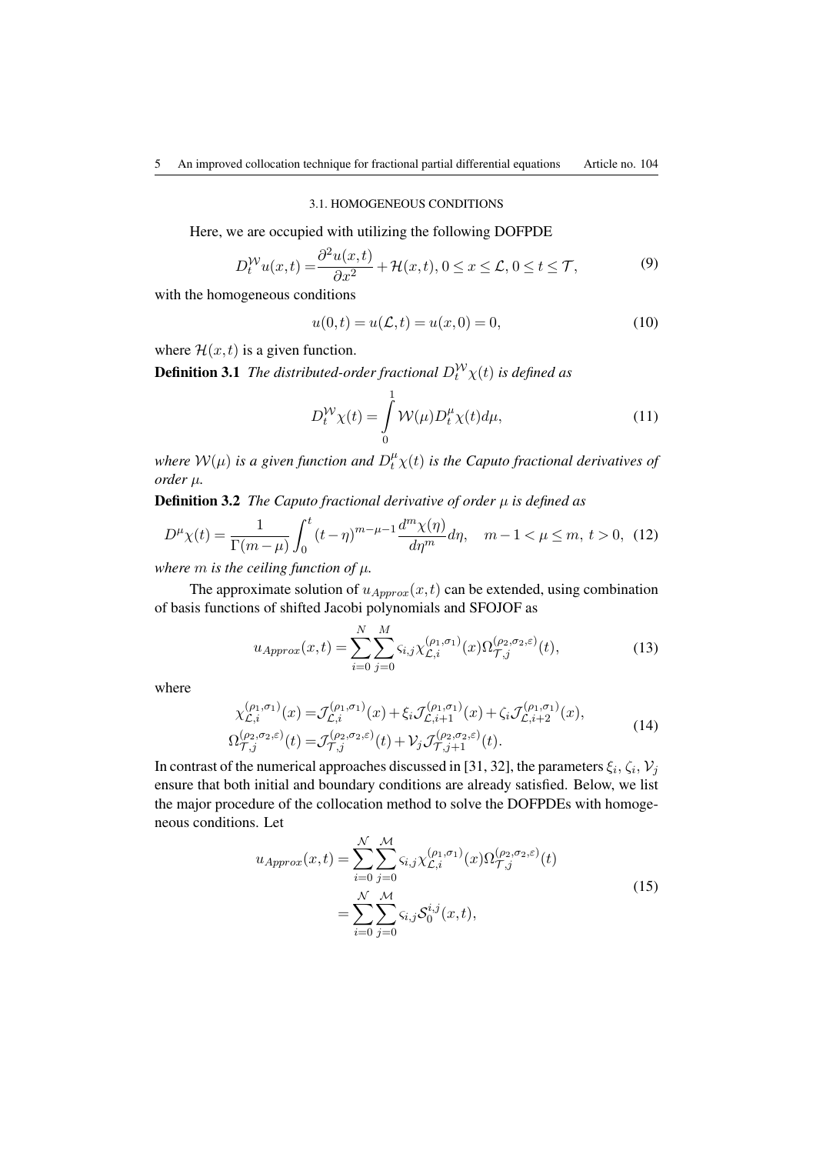## 3.1. HOMOGENEOUS CONDITIONS

Here, we are occupied with utilizing the following DOFPDE

$$
D_t^{\mathcal{W}} u(x,t) = \frac{\partial^2 u(x,t)}{\partial x^2} + \mathcal{H}(x,t), 0 \le x \le \mathcal{L}, 0 \le t \le \mathcal{T},\tag{9}
$$

with the homogeneous conditions

$$
u(0,t) = u(\mathcal{L},t) = u(x,0) = 0,
$$
\n(10)

where  $\mathcal{H}(x,t)$  is a given function.

**Definition 3.1** *The distributed-order fractional*  $D_t^{\mathcal{W}} \chi(t)$  *is defined as* 

$$
D_t^{\mathcal{W}} \chi(t) = \int_0^1 \mathcal{W}(\mu) D_t^{\mu} \chi(t) d\mu,
$$
\n(11)

*where*  $W(\mu)$  *is a given function and*  $D_t^{\mu} \chi(t)$  *is the Caputo fractional derivatives of order µ.*

Definition 3.2 *The Caputo fractional derivative of order µ is defined as*

$$
D^{\mu}\chi(t) = \frac{1}{\Gamma(m-\mu)} \int_0^t (t-\eta)^{m-\mu-1} \frac{d^m \chi(\eta)}{d\eta^m} d\eta, \quad m-1 < \mu \le m, \ t > 0, \tag{12}
$$

*where m is the ceiling function of*  $\mu$ *.* 

The approximate solution of  $u_{Approx}(x, t)$  can be extended, using combination of basis functions of shifted Jacobi polynomials and SFOJOF as

$$
u_{Approx}(x,t) = \sum_{i=0}^{N} \sum_{j=0}^{M} \varsigma_{i,j} \chi_{\mathcal{L},i}^{(\rho_1,\sigma_1)}(x) \Omega_{\mathcal{T},j}^{(\rho_2,\sigma_2,\varepsilon)}(t),
$$
\n(13)

where

$$
\chi_{\mathcal{L},i}^{(\rho_1,\sigma_1)}(x) = \mathcal{J}_{\mathcal{L},i}^{(\rho_1,\sigma_1)}(x) + \xi_i \mathcal{J}_{\mathcal{L},i+1}^{(\rho_1,\sigma_1)}(x) + \zeta_i \mathcal{J}_{\mathcal{L},i+2}^{(\rho_1,\sigma_1)}(x),
$$
\n
$$
\Omega_{\mathcal{T},j}^{(\rho_2,\sigma_2,\varepsilon)}(t) = \mathcal{J}_{\mathcal{T},j}^{(\rho_2,\sigma_2,\varepsilon)}(t) + \mathcal{V}_j \mathcal{J}_{\mathcal{T},j+1}^{(\rho_2,\sigma_2,\varepsilon)}(t).
$$
\n(14)

In contrast of the numerical approaches discussed in [31, 32], the parameters  $\xi_i$ ,  $\zeta_i$ ,  $\mathcal{V}_j$ ensure that both initial and boundary conditions are already satisfied. Below, we list the major procedure of the collocation method to solve the DOFPDEs with homogeneous conditions. Let

$$
u_{Approx}(x,t) = \sum_{i=0}^{\mathcal{N}} \sum_{j=0}^{\mathcal{M}} \varsigma_{i,j} \chi_{\mathcal{L},i}^{(\rho_1,\sigma_1)}(x) \Omega_{\mathcal{T},j}^{(\rho_2,\sigma_2,\varepsilon)}(t)
$$
  

$$
= \sum_{i=0}^{\mathcal{N}} \sum_{j=0}^{\mathcal{M}} \varsigma_{i,j} \mathcal{S}_0^{i,j}(x,t),
$$
 (15)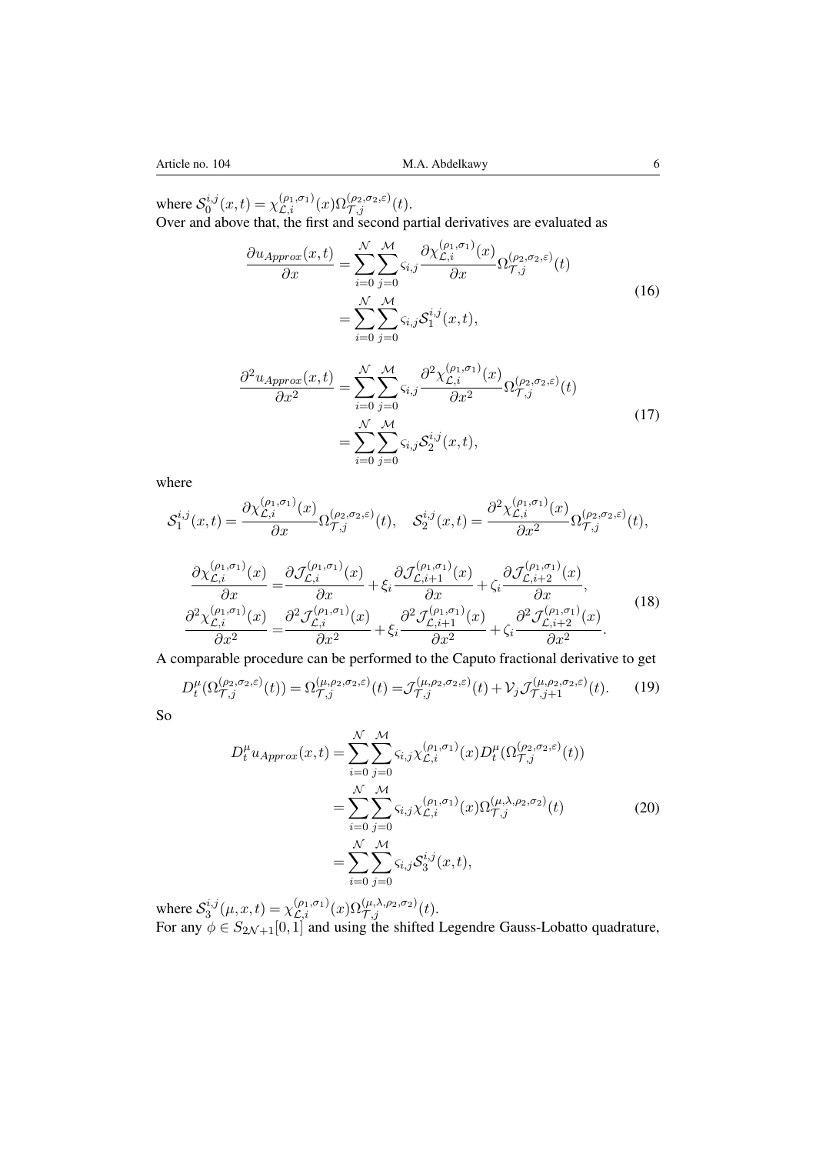where  $S_0^{i,j}$  $\chi_{\mathcal{L},i}^{i,j}(x,t) = \chi_{\mathcal{L},i}^{(\rho_1,\sigma_1)}(x)\Omega_{\mathcal{T},j}^{(\rho_2,\sigma_2,\varepsilon)}(t).$ Over and above that, the first and second partial derivatives are evaluated as

$$
\frac{\partial u_{Approx}(x,t)}{\partial x} = \sum_{i=0}^{\mathcal{N}} \sum_{j=0}^{\mathcal{M}} \varsigma_{i,j} \frac{\partial \chi_{\mathcal{L},i}^{(\rho_1, \sigma_1)}(x)}{\partial x} \Omega_{\mathcal{T},j}^{(\rho_2, \sigma_2, \varepsilon)}(t)
$$

$$
= \sum_{i=0}^{\mathcal{N}} \sum_{j=0}^{\mathcal{M}} \varsigma_{i,j} \mathcal{S}_1^{i,j}(x,t),
$$
(16)

$$
\frac{\partial^2 u_{Approx}(x,t)}{\partial x^2} = \sum_{i=0}^{\mathcal{N}} \sum_{j=0}^{\mathcal{M}} \varsigma_{i,j} \frac{\partial^2 \chi_{\mathcal{L},i}^{(\rho_1,\sigma_1)}(x)}{\partial x^2} \Omega_{\mathcal{T},j}^{(\rho_2,\sigma_2,\varepsilon)}(t)
$$

$$
= \sum_{i=0}^{\mathcal{N}} \sum_{j=0}^{\mathcal{M}} \varsigma_{i,j} \mathcal{S}_2^{i,j}(x,t),
$$
(17)

where

$$
S_1^{i,j}(x,t) = \frac{\partial \chi_{\mathcal{L},i}^{(\rho_1,\sigma_1)}(x)}{\partial x} \Omega_{\mathcal{T},j}^{(\rho_2,\sigma_2,\varepsilon)}(t), \quad S_2^{i,j}(x,t) = \frac{\partial^2 \chi_{\mathcal{L},i}^{(\rho_1,\sigma_1)}(x)}{\partial x^2} \Omega_{\mathcal{T},j}^{(\rho_2,\sigma_2,\varepsilon)}(t),
$$

$$
\frac{\partial \chi_{\mathcal{L},i}^{(\rho_1,\sigma_1)}(x)}{\partial x} = \frac{\partial \mathcal{I}_{\mathcal{L},i}^{(\rho_1,\sigma_1)}(x)}{\partial x} + \xi_i \frac{\partial \mathcal{I}_{\mathcal{L},i+1}^{(\rho_1,\sigma_1)}(x)}{\partial x} + \zeta_i \frac{\partial \mathcal{I}_{\mathcal{L},i+2}^{(\rho_1,\sigma_1)}(x)}{\partial x},
$$
\n
$$
\frac{\partial^2 \chi_{\mathcal{L},i}^{(\rho_1,\sigma_1)}(x)}{\partial x^2} = \frac{\partial^2 \mathcal{I}_{\mathcal{L},i}^{(\rho_1,\sigma_1)}(x)}{\partial x^2} + \xi_i \frac{\partial^2 \mathcal{I}_{\mathcal{L},i+1}^{(\rho_1,\sigma_1)}(x)}{\partial x^2} + \zeta_i \frac{\partial^2 \mathcal{I}_{\mathcal{L},i+2}^{(\rho_1,\sigma_1)}(x)}{\partial x^2}.
$$
\n(18)

A comparable procedure can be performed to the Caputo fractional derivative to get

$$
D_t^{\mu}(\Omega_{\mathcal{T},j}^{(\rho_2,\sigma_2,\varepsilon)}(t)) = \Omega_{\mathcal{T},j}^{(\mu,\rho_2,\sigma_2,\varepsilon)}(t) = \mathcal{J}_{\mathcal{T},j}^{(\mu,\rho_2,\sigma_2,\varepsilon)}(t) + \mathcal{V}_j \mathcal{J}_{\mathcal{T},j+1}^{(\mu,\rho_2,\sigma_2,\varepsilon)}(t). \tag{19}
$$

So

$$
D_t^{\mu} u_{Approx}(x, t) = \sum_{i=0}^{\mathcal{N}} \sum_{j=0}^{\mathcal{M}} \varsigma_{i,j} \chi_{\mathcal{L}, i}^{(\rho_1, \sigma_1)}(x) D_t^{\mu}(\Omega_{\mathcal{T}, j}^{(\rho_2, \sigma_2, \varepsilon)}(t))
$$
  

$$
= \sum_{i=0}^{\mathcal{N}} \sum_{j=0}^{\mathcal{M}} \varsigma_{i,j} \chi_{\mathcal{L}, i}^{(\rho_1, \sigma_1)}(x) \Omega_{\mathcal{T}, j}^{(\mu, \lambda, \rho_2, \sigma_2)}(t)
$$
  

$$
= \sum_{i=0}^{\mathcal{N}} \sum_{j=0}^{\mathcal{M}} \varsigma_{i,j} \mathcal{S}_3^{i,j}(x, t),
$$
 (20)

where  $S_3^{i,j}$  $\chi_{2,j}^{i,j}(\mu, x, t) = \chi_{\mathcal{L},i}^{(\rho_1, \sigma_1)}(x) \Omega_{\mathcal{T},j}^{(\mu, \lambda, \rho_2, \sigma_2)}(t).$ For any  $\phi \in S_{2N+1}[0,1]$  and using the shifted Legendre Gauss-Lobatto quadrature,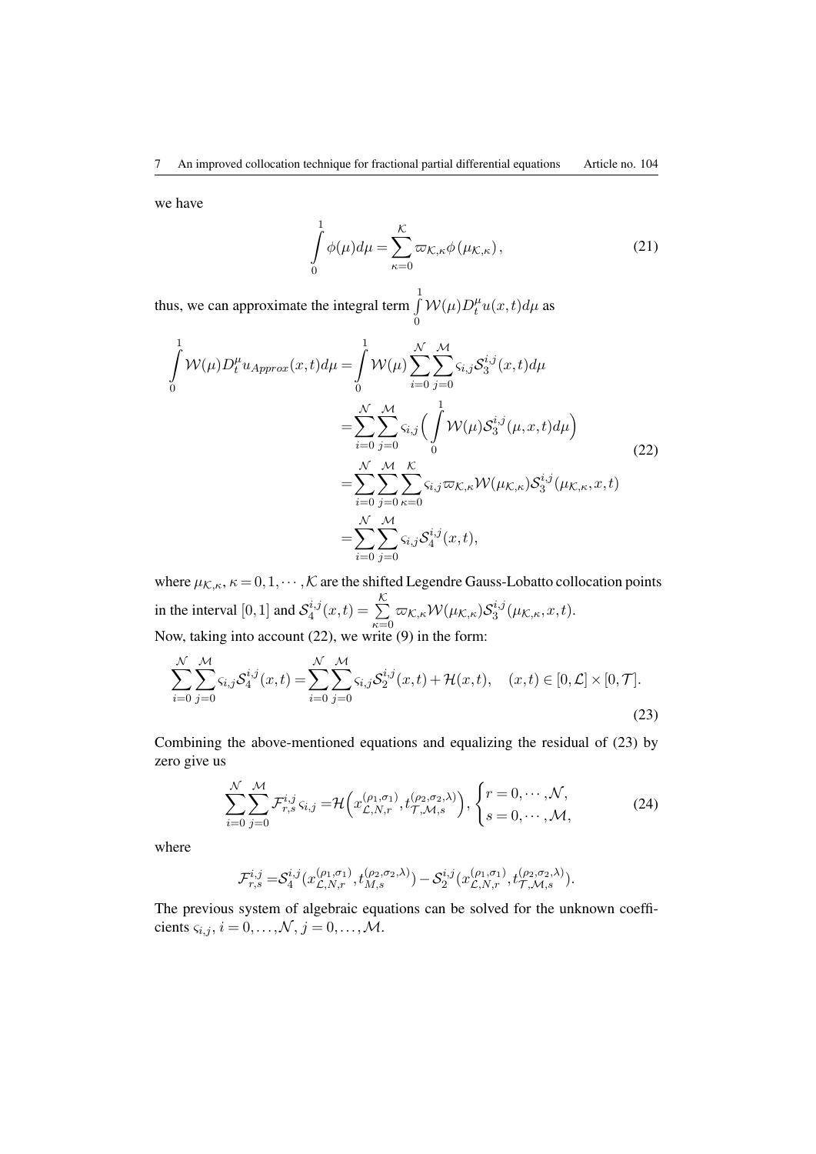we have

<span id="page-6-0"></span>
$$
\int_{0}^{1} \phi(\mu) d\mu = \sum_{\kappa=0}^{\mathcal{K}} \varpi_{\mathcal{K},\kappa} \phi(\mu_{\mathcal{K},\kappa}),
$$
\n(21)

thus, we can approximate the integral term ∫ 1 0  $\mathcal{W}(\mu)D_t^{\mu}u(x,t)d\mu$  as

$$
\int_{0}^{1} \mathcal{W}(\mu) D_{t}^{\mu} u_{Approx}(x, t) d\mu = \int_{0}^{1} \mathcal{W}(\mu) \sum_{i=0}^{\mathcal{N}} \sum_{j=0}^{\mathcal{M}} \varsigma_{i,j} \mathcal{S}_{3}^{i,j}(x, t) d\mu \n= \sum_{i=0}^{\mathcal{N}} \sum_{j=0}^{\mathcal{M}} \varsigma_{i,j} \Big( \int_{0}^{1} \mathcal{W}(\mu) \mathcal{S}_{3}^{i,j}(\mu, x, t) d\mu \Big) \n= \sum_{i=0}^{\mathcal{N}} \sum_{j=0}^{\mathcal{M}} \sum_{\kappa=0}^{\mathcal{K}} \varsigma_{i,j} \varpi_{\mathcal{K},\kappa} \mathcal{W}(\mu_{\mathcal{K},\kappa}) \mathcal{S}_{3}^{i,j}(\mu_{\mathcal{K},\kappa}, x, t) \n= \sum_{i=0}^{\mathcal{N}} \sum_{j=0}^{\mathcal{M}} \varsigma_{i,j} \mathcal{S}_{4}^{i,j}(x, t),
$$
\n(22)

where  $\mu_{\mathcal{K},\kappa}, \kappa = 0,1,\cdots,\mathcal{K}$  are the shifted Legendre Gauss-Lobatto collocation points in the interval  $[0,1]$  and  $S_4^{i,j}$  $A_4^{i,j}(x,t) = \sum_{i=1}^{N} A_i$  $\sum_{\kappa=0}^\infty \varpi_{\mathcal{K},\kappa} \mathcal{W}(\mu_{\mathcal{K},\kappa}) \mathcal{S}^{i,j}_3$  $\int_3^{i,j} (\mu_{\mathcal{K},\kappa},x,t).$ Now, taking into account (22), we write (9) in the form:

$$
\sum_{i=0}^{N} \sum_{j=0}^{M} \varsigma_{i,j} S_4^{i,j}(x,t) = \sum_{i=0}^{N} \sum_{j=0}^{M} \varsigma_{i,j} S_2^{i,j}(x,t) + \mathcal{H}(x,t), \quad (x,t) \in [0,\mathcal{L}] \times [0,\mathcal{T}].
$$
\n(23)

Combining the above-mentioned equations and equalizing the residual of (23) by zero give us

$$
\sum_{i=0}^{\mathcal{N}} \sum_{j=0}^{\mathcal{M}} \mathcal{F}_{r,s}^{i,j} \varsigma_{i,j} = \mathcal{H}\Big(x_{\mathcal{L},N,r}^{(\rho_1,\sigma_1)}, t_{\mathcal{T},\mathcal{M},s}^{(\rho_2,\sigma_2,\lambda)}\Big), \begin{cases} r=0,\cdots,\mathcal{N},\\ s=0,\cdots,\mathcal{M}, \end{cases}
$$
(24)

where

$$
\mathcal{F}^{i,j}_{r,s} = \mathcal{S}^{i,j}_4(x^{(\rho_1, \sigma_1)}_{\mathcal{L},N,r}, t^{(\rho_2, \sigma_2, \lambda)}_{M,s}) - \mathcal{S}^{i,j}_2(x^{(\rho_1, \sigma_1)}_{\mathcal{L},N,r}, t^{(\rho_2, \sigma_2, \lambda)}_{\mathcal{T},\mathcal{M},s}).
$$

The previous system of algebraic equations can be solved for the unknown coeffi*cients*  $\varsigma_{i,j}$ ,  $i = 0, ..., \mathcal{N}$ ,  $j = 0, ..., \mathcal{M}$ .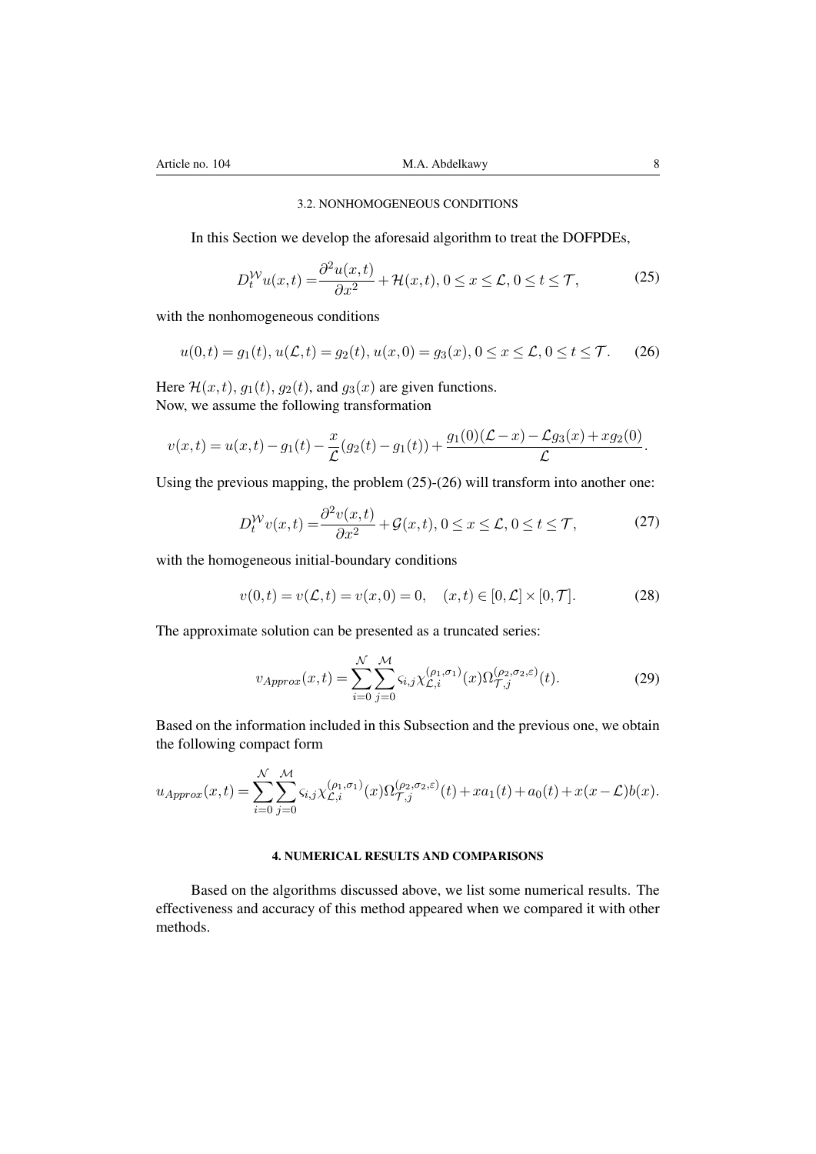## <span id="page-7-0"></span>3.2. NONHOMOGENEOUS CONDITIONS

In this Section we develop the aforesaid algorithm to treat the DOFPDEs,

<span id="page-7-1"></span>
$$
D_t^{\mathcal{W}} u(x,t) = \frac{\partial^2 u(x,t)}{\partial x^2} + \mathcal{H}(x,t), 0 \le x \le \mathcal{L}, 0 \le t \le \mathcal{T},\tag{25}
$$

with the nonhomogeneous conditions

$$
u(0,t) = g_1(t), u(\mathcal{L},t) = g_2(t), u(x,0) = g_3(x), 0 \le x \le \mathcal{L}, 0 \le t \le \mathcal{T}.
$$
 (26)

Here  $\mathcal{H}(x,t)$ ,  $g_1(t)$ ,  $g_2(t)$ , and  $g_3(x)$  are given functions. Now, we assume the following transformation

$$
v(x,t) = u(x,t) - g_1(t) - \frac{x}{\mathcal{L}}(g_2(t) - g_1(t)) + \frac{g_1(0)(\mathcal{L} - x) - \mathcal{L}g_3(x) + xg_2(0)}{\mathcal{L}}.
$$

Using the previous mapping, the problem (25)-(26) will transform into another one:

$$
D_t^{\mathcal{W}} v(x,t) = \frac{\partial^2 v(x,t)}{\partial x^2} + \mathcal{G}(x,t), 0 \le x \le \mathcal{L}, 0 \le t \le \mathcal{T},\tag{27}
$$

with the homogeneous initial-boundary co[ndi](#page-7-0)ti[ons](#page-7-1)

$$
v(0,t) = v(\mathcal{L},t) = v(x,0) = 0, \quad (x,t) \in [0,\mathcal{L}] \times [0,\mathcal{T}].
$$
 (28)

The approximate solution can be presented as a truncated series:

$$
v_{Approx}(x,t) = \sum_{i=0}^{\mathcal{N}} \sum_{j=0}^{\mathcal{M}} \varsigma_{i,j} \chi_{\mathcal{L},i}^{(\rho_1,\sigma_1)}(x) \Omega_{\mathcal{T},j}^{(\rho_2,\sigma_2,\varepsilon)}(t).
$$
 (29)

Based on the information included in this Subsection and the previous one, we obtain the following compact form

$$
u_{Approx}(x,t) = \sum_{i=0}^{N} \sum_{j=0}^{M} \varsigma_{i,j} \chi_{\mathcal{L},i}^{(\rho_1,\sigma_1)}(x) \Omega_{\mathcal{T},j}^{(\rho_2,\sigma_2,\varepsilon)}(t) + xa_1(t) + a_0(t) + x(x-\mathcal{L})b(x).
$$

## 4. NUMERICAL RESULTS AND COMPARISONS

Based on the algorithms discussed above, we list some numerical results. The effectiveness and accuracy of this method appeared when we compared it with other methods.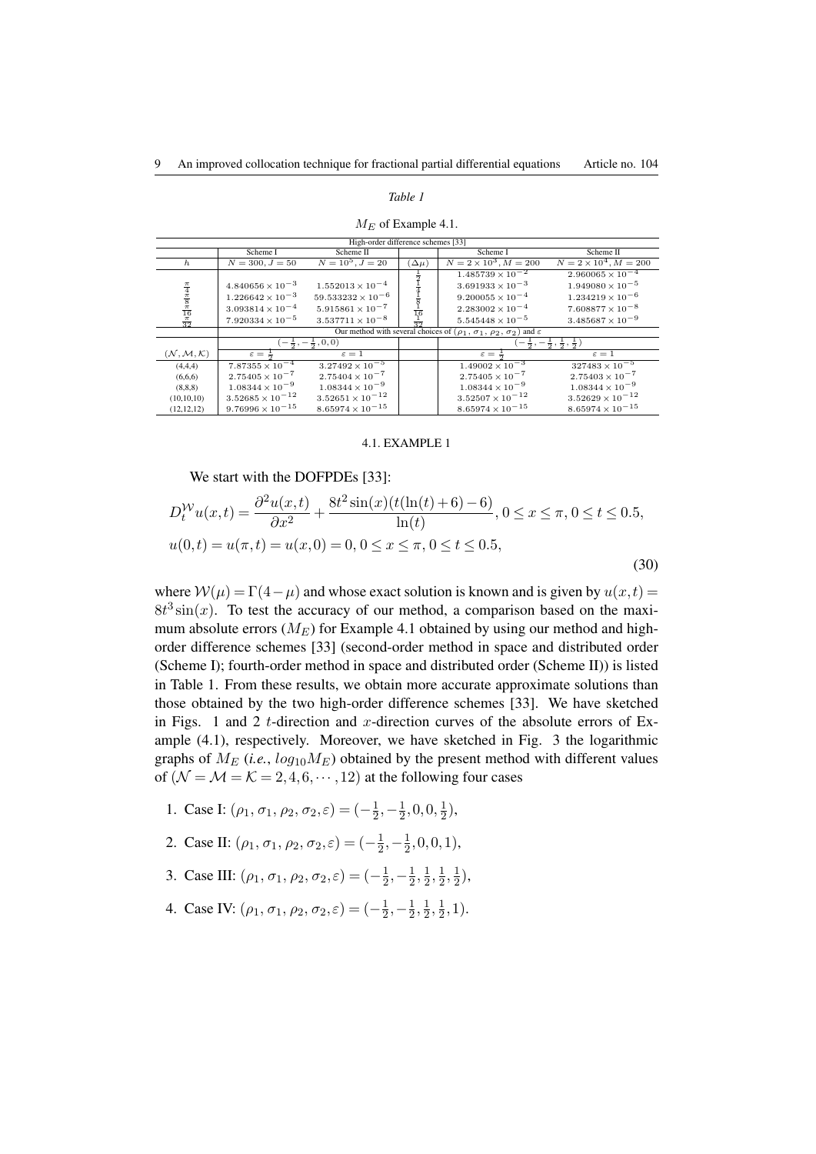#### *Table 1*

|                                                                                    |                             | High-order difference schemes [33]  |                              |                                                                                             |                                                       |
|------------------------------------------------------------------------------------|-----------------------------|-------------------------------------|------------------------------|---------------------------------------------------------------------------------------------|-------------------------------------------------------|
|                                                                                    | Scheme I                    | Scheme II                           |                              | Scheme I                                                                                    | Scheme II                                             |
| $\hbar$                                                                            | $N = 300, J = 50$           | $N = 10^5, J = 20$                  | $(\Delta \mu)$               | $N = 2 \times 10^3, M = 200$                                                                | $N = 2 \times 10^4$ , $M = 200$                       |
|                                                                                    |                             |                                     | $\frac{1}{2}$                | $1.485739 \times 10^{-2}$                                                                   | $2.960065 \times 10^{-4}$                             |
|                                                                                    | $4.840656 \times 10^{-3}$   | $1.552013 \times 10^{-4}$           |                              | $3.691933 \times 10^{-3}$                                                                   | $1.949080 \times 10^{-5}$                             |
|                                                                                    | $1.226642 \times 10^{-3}$   | $59.533232 \times 10^{-6}$          |                              | $9.200055 \times 10^{-4}$                                                                   | $1.234219 \times 10^{-6}$                             |
|                                                                                    | $3.093814 \times 10^{-4}$   | $5.915861 \times 10^{-7}$           |                              | $2.283002 \times 10^{-4}$                                                                   | $7.608877 \times 10^{-8}$                             |
| $\frac{\pi}{4}$ $\frac{\pi}{8}$ $\frac{\pi}{16}$ $\frac{\pi}{16}$ $\frac{\pi}{32}$ | $7.920334 \times 10^{-5}$   | $3.537711 \times 10^{-8}$           | $rac{1}{16}$<br>$rac{1}{32}$ | $5.545448 \times 10^{-5}$                                                                   | $3.485687 \times 10^{-9}$                             |
|                                                                                    |                             |                                     |                              | Our method with several choices of $(\rho_1, \sigma_1, \rho_2, \sigma_2)$ and $\varepsilon$ |                                                       |
|                                                                                    |                             | $-\frac{1}{2}, -\frac{1}{2}, 0, 0)$ |                              |                                                                                             | $\frac{1}{2}, -\frac{1}{2}, \frac{1}{2}, \frac{1}{2}$ |
| $(\mathcal{N},\mathcal{M},\mathcal{K})$                                            | $\varepsilon = \frac{1}{2}$ | $\varepsilon=1$                     |                              | $\varepsilon = \frac{1}{2}$                                                                 | $\varepsilon=1$                                       |
| (4,4,4)                                                                            | $7.87355 \times 10^{-4}$    | $3.27492 \times 10^{-5}$            |                              | $1.49002 \times 10^{-3}$                                                                    | $327483 \times 10^{-5}$                               |
| (6,6,6)                                                                            | $2.75405 \times 10^{-7}$    | $2.75404 \times 10^{-7}$            |                              | $2.75405 \times 10^{-7}$                                                                    | $2.75403 \times 10^{-7}$                              |
| (8, 8, 8)                                                                          | $1.08344 \times 10^{-9}$    | $1.08344 \times 10^{-9}$            |                              | $1.08344 \times 10^{-9}$                                                                    | $1.08344 \times 10^{-9}$                              |
| (10, 10, 10)                                                                       | $3.52685 \times 10^{-12}$   | $3.52651 \times 10^{-12}$           |                              | $3.52507 \times 10^{-12}$                                                                   | $3.52629 \times 10^{-12}$                             |
| (12, 12, 12)                                                                       | $9.76996 \times 10^{-15}$   | $8.65974 \times 10^{-15}$           |                              | $8.65974 \times 10^{-15}$                                                                   | $8.65974 \times 10^{-15}$                             |

#### <span id="page-8-1"></span>*M<sup>E</sup>* of Example 4.1.

## 4.1. EXAMPLE 1

We start with the DOFPDEs [33]:

<span id="page-8-0"></span>
$$
D_t^{\mathcal{W}} u(x,t) = \frac{\partial^2 u(x,t)}{\partial x^2} + \frac{8t^2 \sin(x)(t(\ln(t) + 6) - 6)}{\ln(t)}, 0 \le x \le \pi, 0 \le t \le 0.5,
$$
  

$$
u(0,t) = u(\pi, t) = u(x, 0) = 0, 0 \le x \le \pi, 0 \le t \le 0.5,
$$
 (30)

where  $W(\mu) = \Gamma(4 - \mu)$  and whose exact solution is known and is given by  $u(x, t) =$  $8t^3\sin(x)$ . To test the accuracy of our method, a comparison based on the maximum absolute errors  $(M_E)$  for Example 4.1 obtained by using our method and highorder difference schemes [33] (second-order method in space and distributed order (Scheme I); fourth-order method in space and distributed order (Scheme II)) is listed in Table 1. From these results, we obtain more accurate approximate solutions than those obtained by the two high-order d[iffe](#page-8-0)rence schemes [33]. We have sketched in Figs. 1 and 2 *t*-directi[on](#page-15-4) and *x*-direction curves of the absolute errors of Example (4.1), respectively. Moreover, we have sketched in Fig. 3 the logarithmic graphs o[f](#page-8-1)  $M_E$  (*i.e.*,  $log_{10}M_E$ ) obtained by the present method with different values of  $(N = M = K = 2, 4, 6, \dots, 12)$  $(N = M = K = 2, 4, 6, \dots, 12)$  $(N = M = K = 2, 4, 6, \dots, 12)$  $(N = M = K = 2, 4, 6, \dots, 12)$  $(N = M = K = 2, 4, 6, \dots, 12)$  at the following four cas[es](#page-15-4)

- 1. Ca[se I](#page-8-0):  $(\rho_1, \sigma_1, \rho_2, \sigma_2, \varepsilon) = (-\frac{1}{2})$  $\frac{1}{2}, -\frac{1}{2}$  $\frac{1}{2}, 0, 0, \frac{1}{2}$  $(\frac{1}{2}),$
- 2. Case II:  $(\rho_1, \sigma_1, \rho_2, \sigma_2, \varepsilon) = (-\frac{1}{2})$  $\frac{1}{2}, -\frac{1}{2}$  $\frac{1}{2}, 0, 0, 1),$
- 3. Case III:  $(\rho_1, \sigma_1, \rho_2, \sigma_2, \varepsilon) = (-\frac{1}{2})$  $\frac{1}{2}, -\frac{1}{2}$  $\frac{1}{2}, \frac{1}{2}$  $\frac{1}{2}, \frac{1}{2}$  $\frac{1}{2}, \frac{1}{2}$  $(\frac{1}{2}),$
- 4. Case IV:  $(\rho_1, \sigma_1, \rho_2, \sigma_2, \varepsilon) = (-\frac{1}{2})$  $\frac{1}{2}, -\frac{1}{2}$  $\frac{1}{2}, \frac{1}{2}$  $\frac{1}{2}, \frac{1}{2}$  $\frac{1}{2}, 1$ ).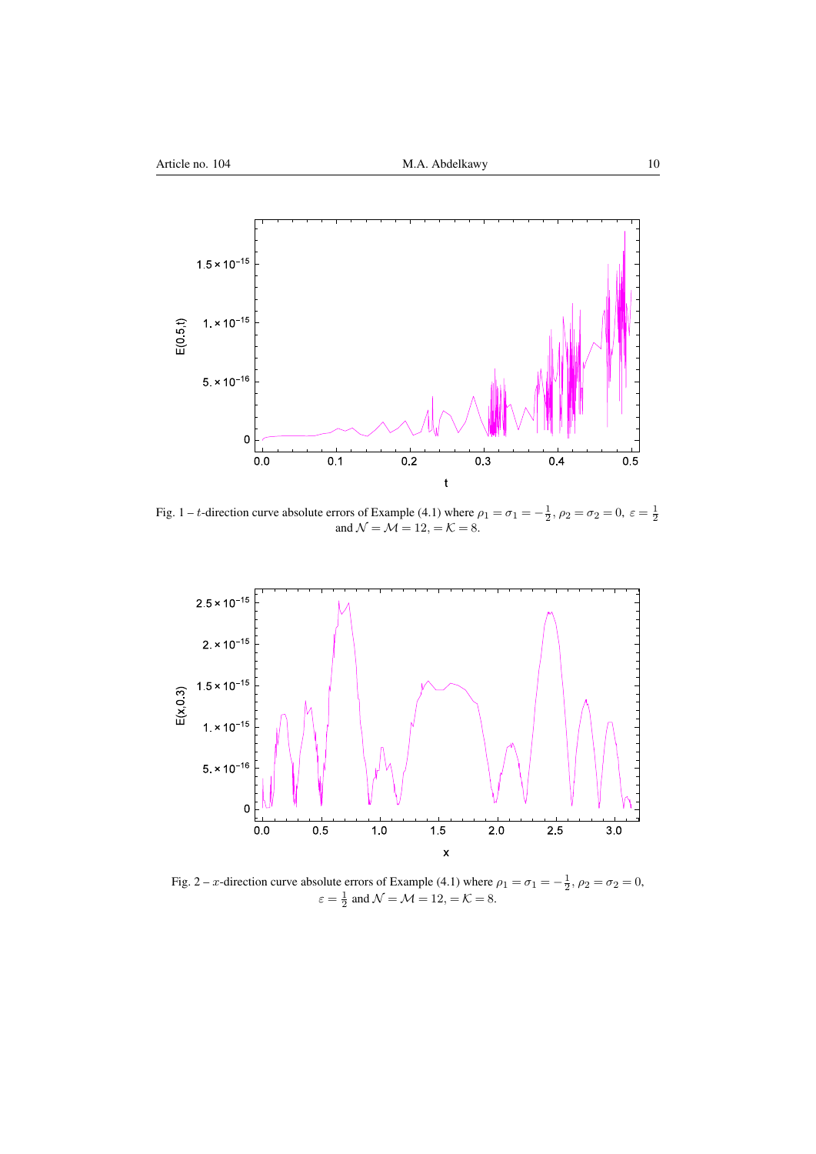

Fig. 1 – *t*-direction curve absolute errors of Example (4.1) where  $\rho_1 = \sigma_1 = -\frac{1}{2}$ ,  $\rho_2 = \sigma_2 = 0$ ,  $\varepsilon = \frac{1}{2}$  and  $\mathcal{N} = \mathcal{M} = 12$ ,  $= \mathcal{K} = 8$ .

<span id="page-9-0"></span>

<span id="page-9-1"></span>Fig. 2 – *x*-direction curve absolute errors of Example (4.1) where  $\rho_1 = \sigma_1 = -\frac{1}{2}$ ,  $\rho_2 = \sigma_2 = 0$ ,  $\varepsilon = \frac{1}{2}$  and  $\mathcal{N} = \mathcal{M} = 12, \mathcal{K} = 8.$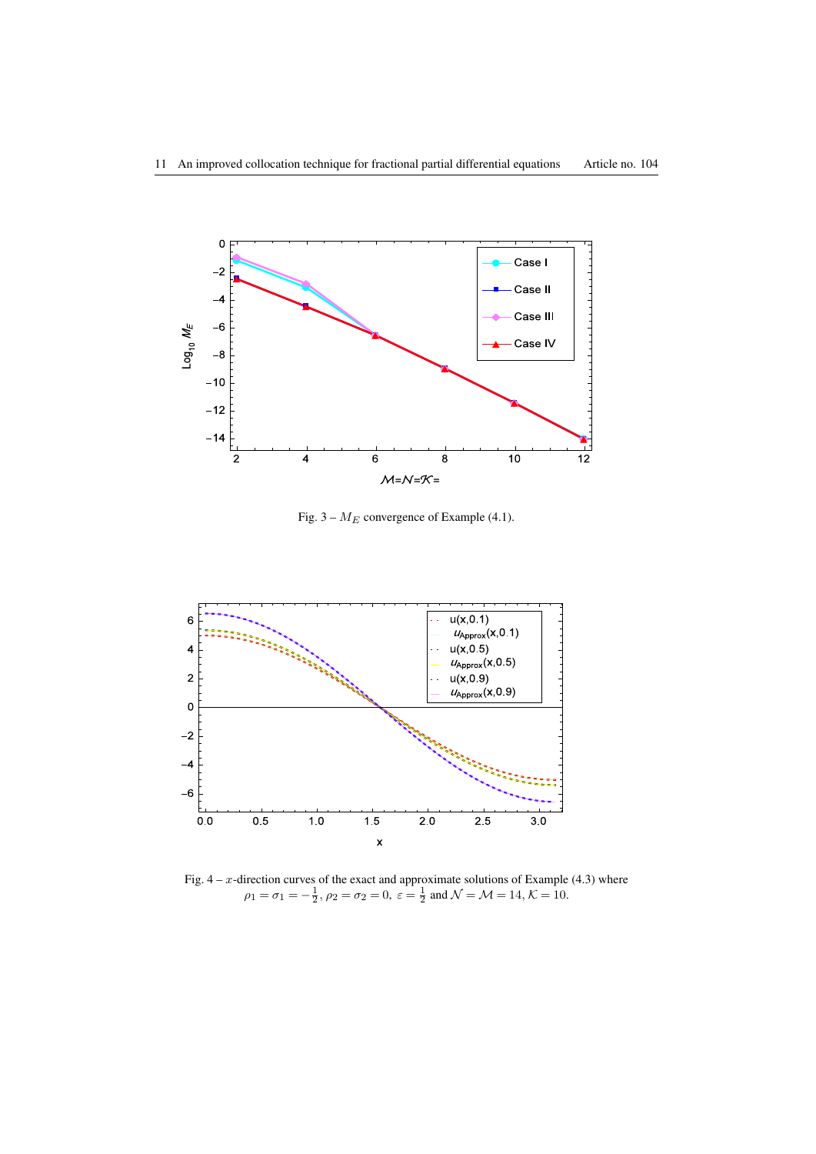

Fig. 3 – *M<sup>E</sup>* convergence of Example (4.1).



<span id="page-10-0"></span>Fig.  $4 - x$ -direction curves of the exact and approximate solutions of Example (4.3) where  $\rho_1 = \sigma_1 = -\frac{1}{2}, \rho_2 = \sigma_2 = 0, \ \varepsilon = \frac{1}{2} \text{ and } \mathcal{N} = \mathcal{M} = 14, \mathcal{K} = 10.$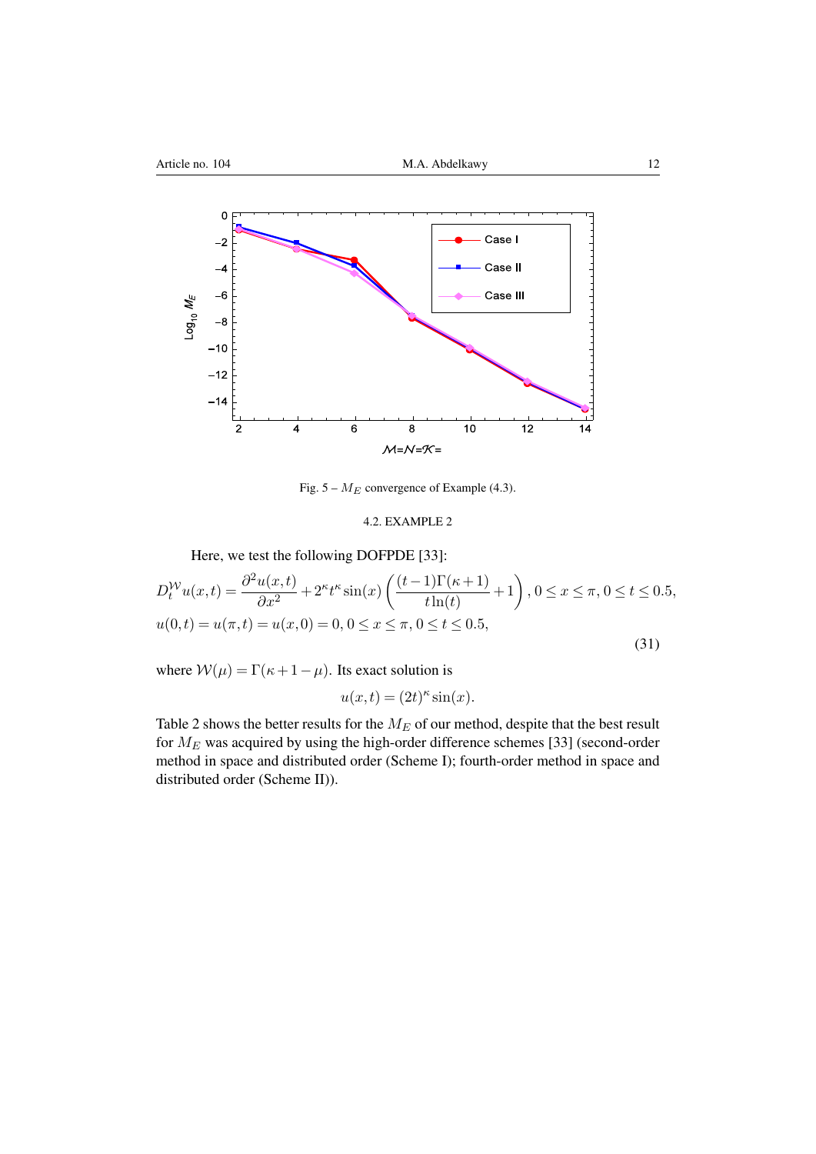

Fig. 5 – *M<sup>E</sup>* convergence of Example (4.3).

## 4.2. EXAMPLE 2

Here, we test the following DOFPDE [33]:

<span id="page-11-0"></span>
$$
D_t^{\mathcal{W}} u(x,t) = \frac{\partial^2 u(x,t)}{\partial x^2} + 2^{\kappa} t^{\kappa} \sin(x) \left( \frac{(t-1)\Gamma(\kappa+1)}{t\ln(t)} + 1 \right), 0 \le x \le \pi, 0 \le t \le 0.5,
$$
  

$$
u(0,t) = u(\pi,t) = u(x,0) = 0, 0 \le x \le \pi, 0 \le t \le 0.5,
$$
  
(31)

where  $W(\mu) = \Gamma(\kappa + 1 - \mu)$ . Its exact solution is

 $u(x,t) = (2t)^{\kappa} \sin(x)$ .

Table 2 shows the better results for the  $M_E$  of our method, despite that the best result for *M<sup>E</sup>* was acquired by using the high-order difference schemes [33] (second-order method in space and distributed order (Scheme I); fourth-order method in space and distri[bu](#page-12-0)ted order (Scheme II)).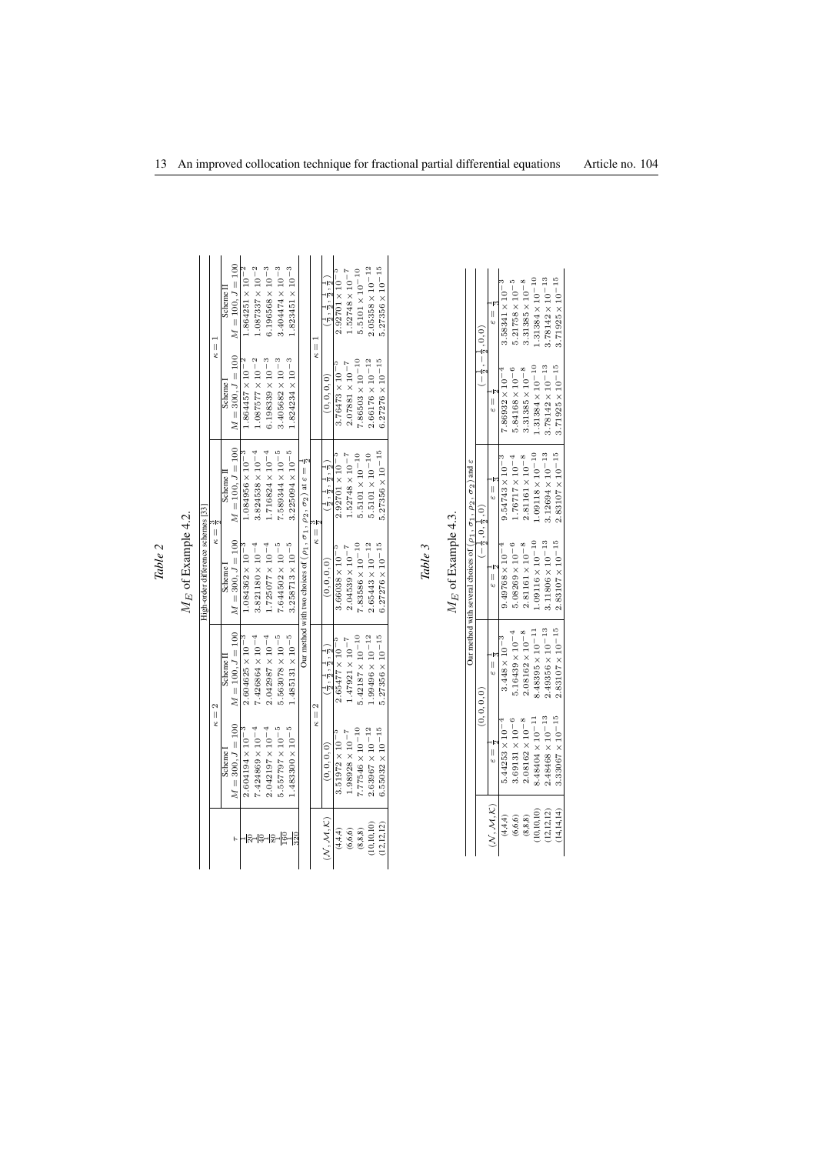<span id="page-12-0"></span>

| 1<br>۲<br>F |  |
|-------------|--|

 $M_{\cal E}$  of Example 4.2.  $M_E$  [of](#page-11-0) Example 4.2.

|                                    |               | Scheme <sub>1</sub> | $M = 100, J = 100$ | $1.864251 \times 10^{-2}$ | $1.087337 \times 10^{-2}$ | $6.196568 \times 10^{-3}$ | $3.404474 \times 10^{-3}$ | $1.823451 \times 10^{-3}$ |                                                                                          |                  | $\frac{2}{3}$ , $\frac{2}{9}$ , $\frac{2}{9}$ , $\frac{2}{9}$   | $2.92701 \times 10^{-5}$ | $1.52748 \times 10^{-7}$ | $5.5101 \times 10^{-10}$  | $2.05358\times10^{-12}$   | $5.27356 \times 10^{-15}$ |
|------------------------------------|---------------|---------------------|--------------------|---------------------------|---------------------------|---------------------------|---------------------------|---------------------------|------------------------------------------------------------------------------------------|------------------|-----------------------------------------------------------------|--------------------------|--------------------------|---------------------------|---------------------------|---------------------------|
|                                    | $\frac{1}{2}$ | Scheme              | $M = 300, J = 100$ | $1.864457 \times 10^{-2}$ | $1.087577\times10^{-2}$   | $6.198339\times10^{-3}$   | $3.405682\times10^{-3}$   | $1.824234 \times 10^{-3}$ |                                                                                          | $\frac{1}{2}$    | (0, 0, 0, 0)                                                    | $3.76473 \times 10^{-5}$ | $2.07881\times10^{-7}$   | $7.86503 \times 10^{-10}$ | $2.66176\times10^{-12}$   | $6.27276\times10^{-15}$   |
|                                    |               | Scheme I            | $M = 100, J = 100$ | $1.084956 \times 10^{-3}$ | $3.824538 \times 10^{-4}$ | $1.716824 \times 10^{-4}$ | $7.589344 \times 10^{-5}$ | $3.225094 \times 10^{-5}$ |                                                                                          |                  | (う, う, う, う,                                                    | $2.92701 \times 10^{-5}$ | $1.52748 \times 10^{-7}$ | $5.5101 \times 10^{-10}$  | $5.5101 \times 10^{-10}$  | $5.27356 \times 10^{-15}$ |
| High-order difference schemes [33] | $\frac{1}{2}$ | Scheme              | $M = 300, J = 100$ | $1.084362 \times 10^{-3}$ | $3.821180 \times 10^{-4}$ | $1.725077 \times 10^{-4}$ | $7.644502 \times 10^{-5}$ | $3.258713 \times 10^{-5}$ | Our method with two choices of $(\rho_1, \sigma_1, \rho_2, \sigma_2)$ at $\varepsilon =$ | $\parallel$<br>ż | (0, 0, 0, 0)                                                    | $3.66038 \times 10^{-5}$ | $2.04539\times10^{-7}$   | $7.83586 \times 10^{-10}$ | $2.65443 \times 10^{-12}$ | $6.27276 \times 10^{-15}$ |
|                                    |               | Scheme <sub>I</sub> | $M = 100, J = 100$ | $2.604625 \times 10^{-3}$ | $7.426864 \times 10^{-4}$ | $2.042987 \times 10^{-4}$ | $5.563078\times10^{-5}$   | $1.485131 \times 10^{-5}$ |                                                                                          |                  | $\frac{2}{3}$ , $\frac{2}{3}$ , $\frac{1}{2}$ , $\frac{1}{2}$ ) | $2.65477 \times 10^{-5}$ | $1.47921\times10^{-7}$   | $5.42187 \times 10^{-10}$ | $1.99496\times10^{-12}$   | $5.27356 \times 10^{-15}$ |
|                                    | $\kappa = 2$  | Scheme 1            | $M = 300, J = 100$ | $2.604194 \times 10^{-3}$ | $7.424869 \times 10^{-4}$ | $2.042197 \times 10^{-4}$ | $5.557797 \times 10^{-5}$ | $1.483300 \times 10^{-5}$ |                                                                                          | $\kappa =$       | (0, 0, 0, 0)                                                    | $3.51972 \times 10^{-5}$ | $1.98928\times10^{-7}$   | $7.77546 \times 10^{-10}$ | $2.63967\times10^{-12}$   | $6.55032\times10^{-15}$   |
|                                    |               |                     |                    |                           |                           |                           |                           |                           |                                                                                          |                  | (N, M, K)                                                       | (4, 4, 4)                | (6, 6, 6)                | (8, 8, 8)                 | 10,10,10                  | (12, 12, 12)              |

*Table 3*

 $M_{\cal E}$  of Example 4.3.  $M_E$  [of](#page-13-0) Example 4.3.

|                                         |                           |                           | Our method with several choices of $(\rho_1, \sigma_1, \rho_2, \sigma_2)$ and $\varepsilon$ |                           |                           |                                          |
|-----------------------------------------|---------------------------|---------------------------|---------------------------------------------------------------------------------------------|---------------------------|---------------------------|------------------------------------------|
|                                         |                           | (0, 0, 0, 0)              | $ \frac{1}{2}$ , 0, $\frac{1}{2}$ , 0                                                       |                           |                           | $1-\frac{1}{2}$ , $-\frac{1}{2}$ , 0, 0) |
| $(\mathcal{N},\mathcal{M},\mathcal{K})$ | ۔<br>یا                   | או<br>ש                   |                                                                                             |                           |                           | $\frac{1}{2}$                            |
| (4, 4, 4)                               | $5.44253 \times 10^{-4}$  | $3.448 \times 10^{-3}$    | $9.49768 \times 10^{-4}$                                                                    | $9.54743 \times 10^{-3}$  | $7.86932 \times 10^{-4}$  | $3.58341 \times 10^{-3}$                 |
| (6, 6, 6)                               | $3.69131 \times 10^{-6}$  | $5.16439 \times 10^{-4}$  | $5.08269 \times 10^{-6}$                                                                    | $1.76717 \times 10^{-4}$  | $5.84168 \times 10^{-6}$  | $5.21758 \times 10^{-5}$                 |
| (8, 8, 8)                               | $2.08162\times10^{-8}$    | $2.08162 \times 10^{-8}$  | $2.81161\times10^{-8}$                                                                      | $2.81161\times10^{-8}$    | $3.31385\times10^{-8}$    | $3.31385 \times 10^{-8}$                 |
| 10,10,10)                               | $8.48404 \times 10^{-11}$ | $8.48395 \times 10^{-11}$ | $1.09116\times10^{-10}$                                                                     | $1.09118 \times 10^{-10}$ | $1.31384 \times 10^{-10}$ | $1.31384 \times 10^{-10}$                |
| (12, 12, 12)                            | $2.48468\times10^{-13}$   | $2.49356 \times 10^{-13}$ | $3.11806 \times 10^{-13}$                                                                   | $3.12694\times10^{-13}$   | $3.78142 \times 10^{-13}$ | $3.78142 \times 10^{-13}$                |
| 14, 14, 14)                             | $3.33067 \times 10^{-15}$ | $2.83107 \times 10^{-15}$ | $2.83107\times10^{-15}$                                                                     | $2.83107 \times 10^{-15}$ | $3.71925 \times 10^{-15}$ | $3.71925 \times 10^{-15}$                |
|                                         |                           |                           |                                                                                             |                           |                           |                                          |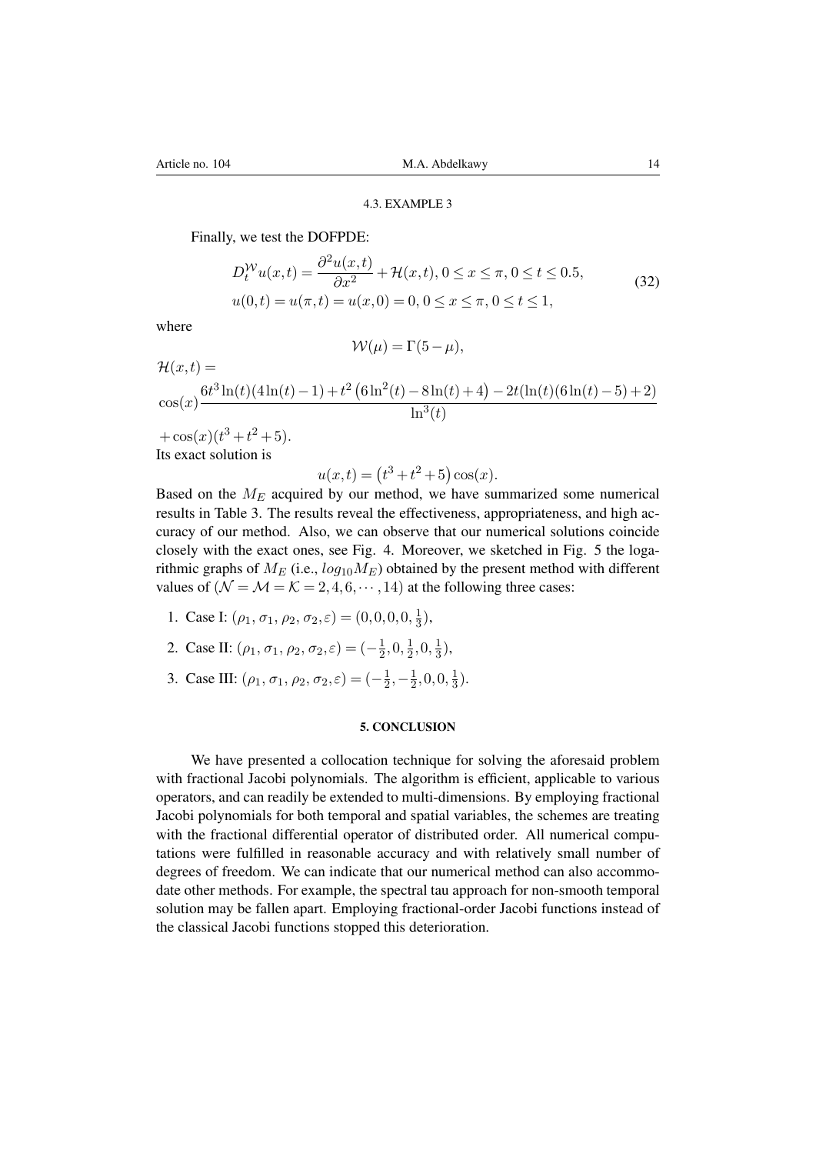### 4.3. EXAMPLE 3

<span id="page-13-0"></span>Finally, we test the DOFPDE:

$$
D_t^{\mathcal{W}} u(x,t) = \frac{\partial^2 u(x,t)}{\partial x^2} + \mathcal{H}(x,t), 0 \le x \le \pi, 0 \le t \le 0.5,
$$
  
\n
$$
u(0,t) = u(\pi,t) = u(x,0) = 0, 0 \le x \le \pi, 0 \le t \le 1,
$$
\n(32)

where

$$
\mathcal{W}(\mu) = \Gamma(5 - \mu),
$$

$$
\mathcal{H}(x,t) = \frac{6t^3 \ln(t)(4\ln(t)-1) + t^2 (6\ln^2(t)-8\ln(t)+4) - 2t(\ln(t)(6\ln(t)-5)+2)}{\ln^3(t)}
$$

 $+(\cos(x)(t^3+t^2+5)).$ Its exact solution is

$$
u(x,t) = (t^3 + t^2 + 5)\cos(x).
$$

Based on the *M<sup>E</sup>* acquired by our method, we have summarized some numerical results in Table 3. The results reveal the effectiveness, appropriateness, and high accuracy of our method. Also, we can observe that our numerical solutions coincide closely with the exact ones, see Fig. 4. Moreover, we sketched in Fig. 5 the logarithmic graphs of  $M_E$  (i.e.,  $log_{10}M_E$ ) obtained by the present method with different values of  $(\mathcal{N} = \mathcal{M} = \mathcal{K} = 2, 4, 6, \cdots, 14)$  $(\mathcal{N} = \mathcal{M} = \mathcal{K} = 2, 4, 6, \cdots, 14)$  $(\mathcal{N} = \mathcal{M} = \mathcal{K} = 2, 4, 6, \cdots, 14)$  at the following three cases:

- 1. Case I:  $(\rho_1, \sigma_1, \rho_2, \sigma_2, \varepsilon) = (0, 0, 0, 0, \frac{1}{3})$  $(\rho_1, \sigma_1, \rho_2, \sigma_2, \varepsilon) = (0, 0, 0, 0, \frac{1}{3})$  $(\rho_1, \sigma_1, \rho_2, \sigma_2, \varepsilon) = (0, 0, 0, 0, \frac{1}{3})$  $\frac{1}{3}$ ),
- 2. Case II:  $(\rho_1, \sigma_1, \rho_2, \sigma_2, \varepsilon) = (-\frac{1}{2})$  $\frac{1}{2}, 0, \frac{1}{2}$  $\frac{1}{2}, 0, \frac{1}{3}$  $\frac{1}{3}$ ),
- 3. Case III:  $(\rho_1, \sigma_1, \rho_2, \sigma_2, \varepsilon) = (-\frac{1}{2})$  $\frac{1}{2}, -\frac{1}{2}$  $\frac{1}{2}, 0, 0, \frac{1}{3}$  $\frac{1}{3}$ .

#### 5. CONCLUSION

We have presented a collocation technique for solving the aforesaid problem with fractional Jacobi polynomials. The algorithm is efficient, applicable to various operators, and can readily be extended to multi-dimensions. By employing fractional Jacobi polynomials for both temporal and spatial variables, the schemes are treating with the fractional differential operator of distributed order. All numerical computations were fulfilled in reasonable accuracy and with relatively small number of degrees of freedom. We can indicate that our numerical method can also accommodate other methods. For example, the spectral tau approach for non-smooth temporal solution may be fallen apart. Employing fractional-order Jacobi functions instead of the classical Jacobi functions stopped this deterioration.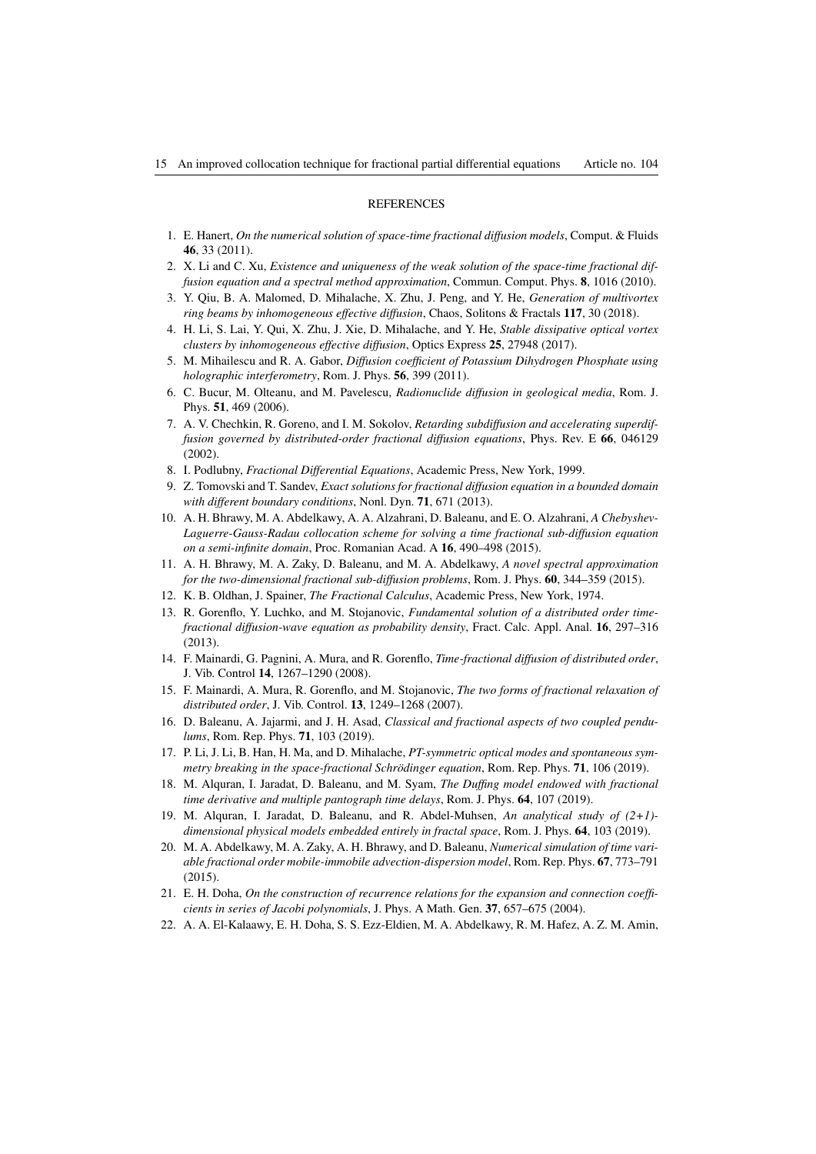### **REFERENCES**

- <span id="page-14-0"></span>1. E. Hanert, *On the numerical solution of space-time fractional diffusion models*, Comput. & Fluids 46, 33 (2011).
- <span id="page-14-1"></span>2. X. Li and C. Xu, *Existence and uniqueness of the weak solution of the space-time fractional diffusion equation and a spectral method approximation*, Commun. Comput. Phys. 8, 1016 (2010).
- <span id="page-14-2"></span>3. Y. Qiu, B. A. Malomed, D. Mihalache, X. Zhu, J. Peng, and Y. He, *Generation of multivortex ring beams by inhomogeneous effective diffusion*, Chaos, Solitons & Fractals 117, 30 (2018).
- 4. H. Li, S. Lai, Y. Qui, X. Zhu, J. Xie, D. Mihalache, and Y. He, *Stable dissipative optical vortex clusters by inhomogeneous effective diffusion*, Optics Express 25, 27948 (2017).
- 5. M. Mihailescu and R. A. Gabor, *Diffusion coefficient of Potassium Dihydrogen Phosphate using holographic interferometry*, Rom. J. Phys. 56, 399 (2011).
- <span id="page-14-3"></span>6. C. Bucur, M. Olteanu, and M. Pavelescu, *Radionuclide diffusion in geological media*, Rom. J. Phys. 51, 469 (2006).
- <span id="page-14-4"></span>7. A. V. Chechkin, R. Goreno, and I. M. Sokolov, *Retarding subdiffusion and accelerating superdiffusion governed by distributed-order fractional diffusion equations*, Phys. Rev. E 66, 046129 (2002).
- 8. I. Podlubny, *Fractional Differential Equations*, Academic Press, New York, 1999.
- 9. Z. Tomovski and T. Sandev, *Exact solutions for fractional diffusion equation in a bounded domain with different boundary conditions*, Nonl. Dyn. 71, 671 (2013).
- 10. A. H. Bhrawy, M. A. Abdelkawy, A. A. Alzahrani, D. Baleanu, and E. O. Alzahrani, *A Chebyshev-Laguerre-Gauss-Radau collocation scheme for solving a time fractional sub-diffusion equation on a semi-infinite domain*, Proc. Romanian Acad. A 16, 490–498 (2015).
- 11. A. H. Bhrawy, M. A. Zaky, D. Baleanu, and M. A. Abdelkawy, *A novel spectral approximation for the two-dimensional fractional sub-diffusion problems*, Rom. J. Phys. 60, 344–359 (2015).
- 12. K. B. Oldhan, J. Spainer, *The Fractional Calculus*, Academic Press, New York, 1974.
- <span id="page-14-5"></span>13. R. Gorenflo, Y. Luchko, and M. Stojanovic, *Fundamental solution of a distributed order timefractional diffusion-wave equation as probability density*, Fract. Calc. Appl. Anal. 16, 297–316 (2013).
- 14. F. Mainardi, G. Pagnini, A. Mura, and R. Gorenflo, *Time-fractional diffusion of distributed order*, J. Vib. Control 14, 1267–1290 (2008).
- <span id="page-14-6"></span>15. F. Mainardi, A. Mura, R. Gorenflo, and M. Stojanovic, *The two forms of fractional relaxation of distributed order*, J. Vib. Control. 13, 1249–1268 (2007).
- <span id="page-14-7"></span>16. D. Baleanu, A. Jajarmi, and J. H. Asad, *Classical and fractional aspects of two coupled pendulums*, Rom. Rep. Phys. 71, 103 (2019).
- 17. P. Li, J. Li, B. Han, H. Ma, and D. Mihalache, *PT-symmetric optical modes and spontaneous symmetry breaking in the space-fractional Schrödinger equation*, Rom. Rep. Phys. 71, 106 (2019).
- 18. M. Alquran, I. Jaradat, D. Baleanu, and M. Syam, *The Duffing model endowed with fractional time derivative and multiple pantograph time delays*, Rom. J. Phys. 64, 107 (2019).
- <span id="page-14-8"></span>19. M. Alquran, I. Jaradat, D. Baleanu, and R. Abdel-Muhsen, *An analytical study of (2+1) dimensional physical models embedded entirely in fractal space*, Rom. J. Phys. 64, 103 (2019).
- <span id="page-14-9"></span>20. M. A. Abdelkawy, M. A. Zaky, A. H. Bhrawy, and D. Baleanu, *Numerical simulation of time variable fractional order mobile-immobile advection-dispersion model*, Rom. Rep. Phys. 67, 773–791 (2015).
- 21. E. H. Doha, *On the construction of recurrence relations for the expansion and connection coefficients in series of Jacobi polynomials*, J. Phys. A Math. Gen. 37, 657–675 (2004).
- <span id="page-14-10"></span>22. A. A. El-Kalaawy, E. H. Doha, S. S. Ezz-Eldien, M. A. Abdelkawy, R. M. Hafez, A. Z. M. Amin,